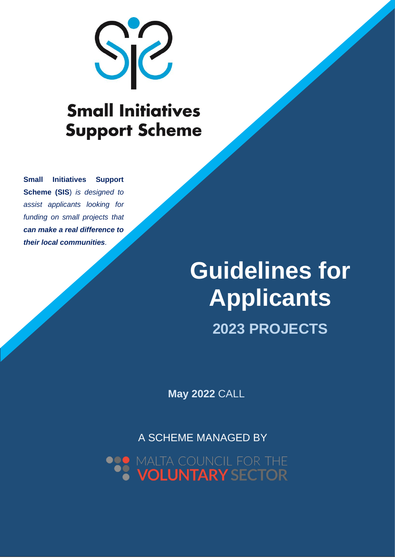

# **Small Initiatives Support Scheme**

*Managed by the Malta Council for the Malta Council for the Volume 1999* **and** *funding on small projects that* $\frac{1}{2}$ **Small Initiatives Support Scheme (SIS**) *is designed to assist applicants looking for can make a real difference to their local communities.*

# **Guidelines for Applicants Guidelines for Applicants 2023 PROJECTS**

**May 2022** CALL

A SCHEME MANAGED BY

MALTA COUNCIL FOR THE<br>**VOLUNTARY SECTOR**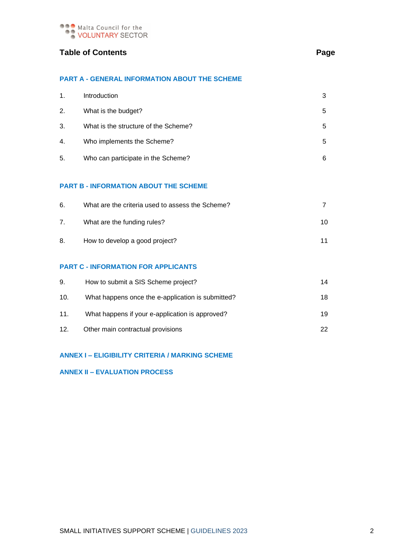

#### **Table of Contents** Page

#### **PART A - GENERAL INFORMATION ABOUT THE SCHEME**

| 1. | Introduction                         |   |
|----|--------------------------------------|---|
| 2. | What is the budget?                  | 5 |
| 3. | What is the structure of the Scheme? | 5 |
| 4. | Who implements the Scheme?           | 5 |
| 5. | Who can participate in the Scheme?   | 6 |

#### **PART B - INFORMATION ABOUT THE SCHEME**

| 6. | What are the criteria used to assess the Scheme? |    |
|----|--------------------------------------------------|----|
|    | What are the funding rules?                      | 10 |
| 8. | How to develop a good project?                   | 11 |

#### **PART C - INFORMATION FOR APPLICANTS**

| 9.  | How to submit a SIS Scheme project?               | 14 |
|-----|---------------------------------------------------|----|
| 10. | What happens once the e-application is submitted? | 18 |
| 11. | What happens if your e-application is approved?   | 19 |
| 12. | Other main contractual provisions                 | 22 |

#### **ANNEX I – ELIGIBILITY CRITERIA / MARKING SCHEME**

#### **ANNEX II – EVALUATION PROCESS**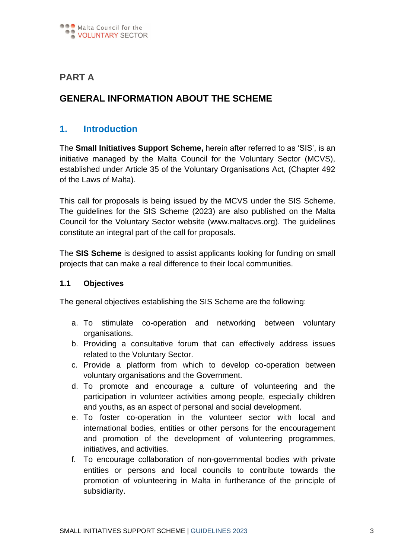

# **PART A**

# **GENERAL INFORMATION ABOUT THE SCHEME**

## **1. Introduction**

The **Small Initiatives Support Scheme,** herein after referred to as 'SIS', is an initiative managed by the Malta Council for the Voluntary Sector (MCVS), established under Article 35 of the Voluntary Organisations Act, (Chapter 492 of the Laws of Malta).

This call for proposals is being issued by the MCVS under the SIS Scheme. The guidelines for the SIS Scheme (2023) are also published on the Malta Council for the Voluntary Sector website (www.maltacvs.org). The guidelines constitute an integral part of the call for proposals.

The **SIS Scheme** is designed to assist applicants looking for funding on small projects that can make a real difference to their local communities.

#### **1.1 Objectives**

The general objectives establishing the SIS Scheme are the following:

- a. To stimulate co-operation and networking between voluntary organisations.
- b. Providing a consultative forum that can effectively address issues related to the Voluntary Sector.
- c. Provide a platform from which to develop co-operation between voluntary organisations and the Government.
- d. To promote and encourage a culture of volunteering and the participation in volunteer activities among people, especially children and youths, as an aspect of personal and social development.
- e. To foster co-operation in the volunteer sector with local and international bodies, entities or other persons for the encouragement and promotion of the development of volunteering programmes, initiatives, and activities.
- f. To encourage collaboration of non-governmental bodies with private entities or persons and local councils to contribute towards the promotion of volunteering in Malta in furtherance of the principle of subsidiarity.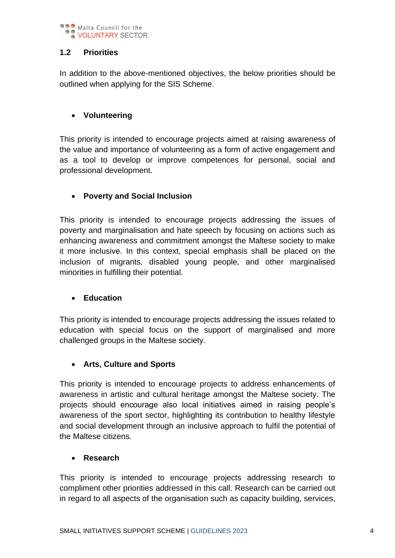

## **1.2 Priorities**

In addition to the above-mentioned objectives, the below priorities should be outlined when applying for the SIS Scheme.

## • **Volunteering**

This priority is intended to encourage projects aimed at raising awareness of the value and importance of volunteering as a form of active engagement and as a tool to develop or improve competences for personal, social and professional development.

### • **Poverty and Social Inclusion**

This priority is intended to encourage projects addressing the issues of poverty and marginalisation and hate speech by focusing on actions such as enhancing awareness and commitment amongst the Maltese society to make it more inclusive. In this context, special emphasis shall be placed on the inclusion of migrants, disabled young people, and other marginalised minorities in fulfilling their potential.

#### • **Education**

This priority is intended to encourage projects addressing the issues related to education with special focus on the support of marginalised and more challenged groups in the Maltese society.

#### • **Arts, Culture and Sports**

This priority is intended to encourage projects to address enhancements of awareness in artistic and cultural heritage amongst the Maltese society. The projects should encourage also local initiatives aimed in raising people's awareness of the sport sector, highlighting its contribution to healthy lifestyle and social development through an inclusive approach to fulfil the potential of the Maltese citizens.

#### • **Research**

This priority is intended to encourage projects addressing research to compliment other priorities addressed in this call. Research can be carried out in regard to all aspects of the organisation such as capacity building, services,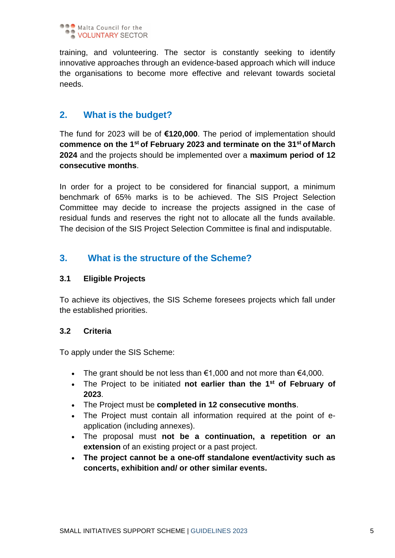

training, and volunteering. The sector is constantly seeking to identify innovative approaches through an evidence-based approach which will induce the organisations to become more effective and relevant towards societal needs.

# **2. What is the budget?**

The fund for 2023 will be of **€120,000**. The period of implementation should **commence on the 1 st of February 2023 and terminate on the 31st of March 2024** and the projects should be implemented over a **maximum period of 12 consecutive months**.

In order for a project to be considered for financial support, a minimum benchmark of 65% marks is to be achieved. The SIS Project Selection Committee may decide to increase the projects assigned in the case of residual funds and reserves the right not to allocate all the funds available. The decision of the SIS Project Selection Committee is final and indisputable.

# **3. What is the structure of the Scheme?**

#### **3.1 Eligible Projects**

To achieve its objectives, the SIS Scheme foresees projects which fall under the established priorities.

#### **3.2 Criteria**

To apply under the SIS Scheme:

- The grant should be not less than  $€1,000$  and not more than  $€4,000$ .
- The Project to be initiated **not earlier than the 1st of February of 2023**.
- The Project must be **completed in 12 consecutive months**.
- The Project must contain all information required at the point of eapplication (including annexes).
- The proposal must **not be a continuation, a repetition or an extension** of an existing project or a past project.
- **The project cannot be a one-off standalone event/activity such as concerts, exhibition and/ or other similar events.**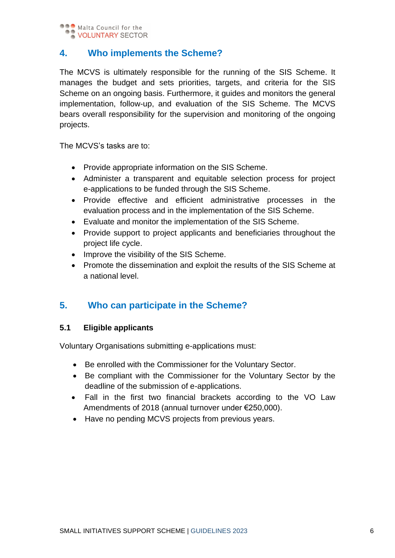

# **4. Who implements the Scheme?**

The MCVS is ultimately responsible for the running of the SIS Scheme. It manages the budget and sets priorities, targets, and criteria for the SIS Scheme on an ongoing basis. Furthermore, it guides and monitors the general implementation, follow-up, and evaluation of the SIS Scheme. The MCVS bears overall responsibility for the supervision and monitoring of the ongoing projects.

The MCVS's tasks are to:

- Provide appropriate information on the SIS Scheme.
- Administer a transparent and equitable selection process for project e-applications to be funded through the SIS Scheme.
- Provide effective and efficient administrative processes in the evaluation process and in the implementation of the SIS Scheme.
- Evaluate and monitor the implementation of the SIS Scheme.
- Provide support to project applicants and beneficiaries throughout the project life cycle.
- Improve the visibility of the SIS Scheme.
- Promote the dissemination and exploit the results of the SIS Scheme at a national level.

# **5. Who can participate in the Scheme?**

#### **5.1 Eligible applicants**

Voluntary Organisations submitting e-applications must:

- Be enrolled with the Commissioner for the Voluntary Sector.
- Be compliant with the Commissioner for the Voluntary Sector by the deadline of the submission of e-applications.
- Fall in the first two financial brackets according to the VO Law Amendments of 2018 (annual turnover under €250,000).
- Have no pending MCVS projects from previous years.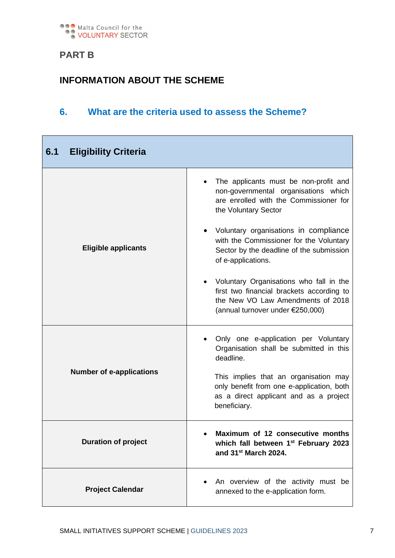

# **PART B**

# **INFORMATION ABOUT THE SCHEME**

# **6. What are the criteria used to assess the Scheme?**

| 6.1<br><b>Eligibility Criteria</b> |                                                                                                                                                                 |
|------------------------------------|-----------------------------------------------------------------------------------------------------------------------------------------------------------------|
|                                    | The applicants must be non-profit and<br>non-governmental organisations which<br>are enrolled with the Commissioner for<br>the Voluntary Sector                 |
| <b>Eligible applicants</b>         | • Voluntary organisations in compliance<br>with the Commissioner for the Voluntary<br>Sector by the deadline of the submission<br>of e-applications.            |
|                                    | • Voluntary Organisations who fall in the<br>first two financial brackets according to<br>the New VO Law Amendments of 2018<br>(annual turnover under €250,000) |
|                                    | Only one e-application per Voluntary<br>Organisation shall be submitted in this<br>deadline.                                                                    |
| <b>Number of e-applications</b>    | This implies that an organisation may<br>only benefit from one e-application, both<br>as a direct applicant and as a project<br>beneficiary.                    |
| <b>Duration of project</b>         | Maximum of 12 consecutive months<br>which fall between 1 <sup>st</sup> February 2023<br>and 31 <sup>st</sup> March 2024.                                        |
| <b>Project Calendar</b>            | An overview of the activity must be<br>annexed to the e-application form.                                                                                       |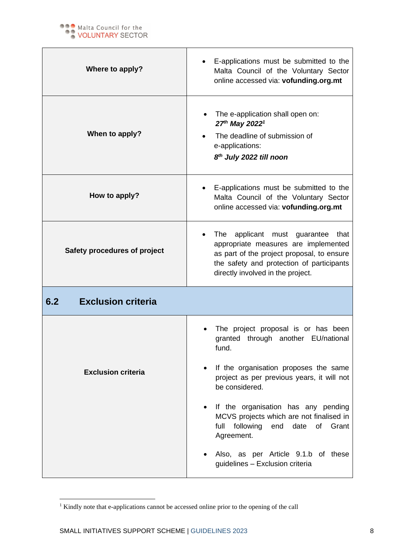

| Where to apply?                  | E-applications must be submitted to the<br>Malta Council of the Voluntary Sector<br>online accessed via: vofunding.org.mt                                                                                       |
|----------------------------------|-----------------------------------------------------------------------------------------------------------------------------------------------------------------------------------------------------------------|
| When to apply?                   | The e-application shall open on:<br>27th May 2022 <sup>1</sup><br>The deadline of submission of<br>e-applications:<br>8 <sup>th</sup> July 2022 till noon                                                       |
| How to apply?                    | E-applications must be submitted to the<br>Malta Council of the Voluntary Sector<br>online accessed via: vofunding.org.mt                                                                                       |
| Safety procedures of project     | applicant must guarantee<br>The<br>that<br>appropriate measures are implemented<br>as part of the project proposal, to ensure<br>the safety and protection of participants<br>directly involved in the project. |
| 6.2<br><b>Exclusion criteria</b> |                                                                                                                                                                                                                 |
|                                  | The project proposal is or has been<br>granted through another EU/national<br>fund.                                                                                                                             |
| <b>Exclusion criteria</b>        | If the organisation proposes the same<br>project as per previous years, it will not<br>be considered.                                                                                                           |
|                                  | If the organisation has any pending<br>MCVS projects which are not finalised in<br>following<br>of<br>Grant<br>full<br>end<br>date<br>Agreement.                                                                |
|                                  | Also, as per Article 9.1.b of these<br>guidelines - Exclusion criteria                                                                                                                                          |

<sup>&</sup>lt;sup>1</sup> Kindly note that e-applications cannot be accessed online prior to the opening of the call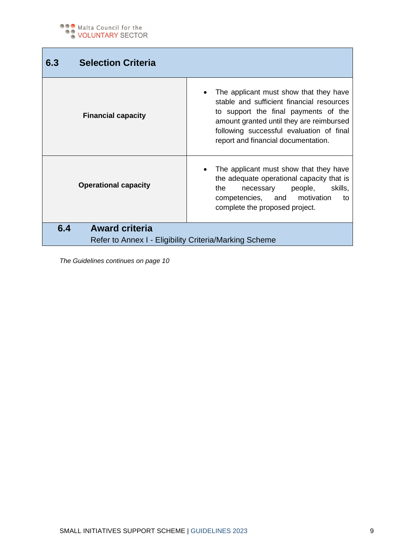Г

| 6.3 | <b>Selection Criteria</b>                              |                                                                                                                                                                                                                                                            |
|-----|--------------------------------------------------------|------------------------------------------------------------------------------------------------------------------------------------------------------------------------------------------------------------------------------------------------------------|
|     | <b>Financial capacity</b>                              | The applicant must show that they have<br>stable and sufficient financial resources<br>to support the final payments of the<br>amount granted until they are reimbursed<br>following successful evaluation of final<br>report and financial documentation. |
|     | <b>Operational capacity</b>                            | The applicant must show that they have<br>the adequate operational capacity that is<br>skills,<br>the<br>people,<br>necessary<br>competencies, and motivation<br>to<br>complete the proposed project.                                                      |
| 6.4 | <b>Award criteria</b>                                  |                                                                                                                                                                                                                                                            |
|     | Refer to Annex I - Eligibility Criteria/Marking Scheme |                                                                                                                                                                                                                                                            |

*The Guidelines continues on page 10*

ī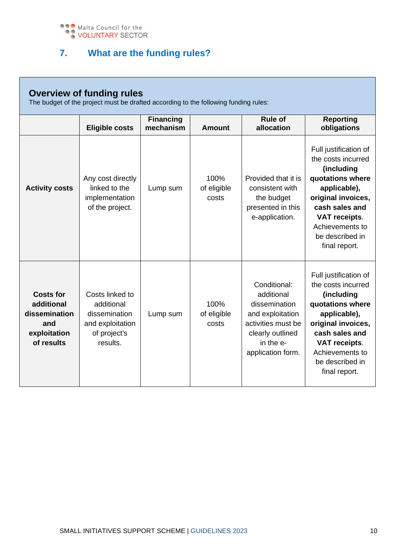

# **7. What are the funding rules?**

| <b>Overview of funding rules</b><br>The budget of the project must be drafted according to the following funding rules: |                                                                                                |                               |                              |                                                                                                                                             |                                                                                                                                                                                                                      |
|-------------------------------------------------------------------------------------------------------------------------|------------------------------------------------------------------------------------------------|-------------------------------|------------------------------|---------------------------------------------------------------------------------------------------------------------------------------------|----------------------------------------------------------------------------------------------------------------------------------------------------------------------------------------------------------------------|
|                                                                                                                         | <b>Eligible costs</b>                                                                          | <b>Financing</b><br>mechanism | Amount                       | <b>Rule of</b><br>allocation                                                                                                                | <b>Reporting</b><br>obligations                                                                                                                                                                                      |
| <b>Activity costs</b>                                                                                                   | Any cost directly<br>linked to the<br>implementation<br>of the project.                        | Lump sum                      | 100%<br>of eligible<br>costs | Provided that it is<br>consistent with<br>the budget<br>presented in this<br>e-application.                                                 | Full justification of<br>the costs incurred<br>(including<br>quotations where<br>applicable),<br>original invoices,<br>cash sales and<br>VAT receipts.<br>Achievements to<br>be described in<br>final report.        |
| <b>Costs for</b><br>additional<br>dissemination<br>and<br>exploitation<br>of results                                    | Costs linked to<br>additional<br>dissemination<br>and exploitation<br>of project's<br>results. | Lump sum                      | 100%<br>of eligible<br>costs | Conditional:<br>additional<br>dissemination<br>and exploitation<br>activities must be<br>clearly outlined<br>in the e-<br>application form. | Full justification of<br>the costs incurred<br>(including<br>quotations where<br>applicable),<br>original invoices,<br>cash sales and<br><b>VAT receipts.</b><br>Achievements to<br>be described in<br>final report. |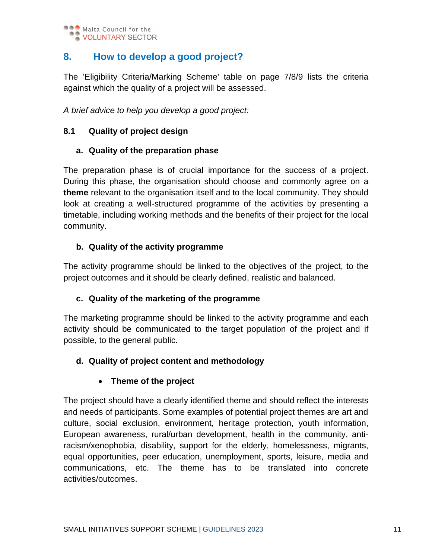

# **8. How to develop a good project?**

The 'Eligibility Criteria/Marking Scheme' table on page 7/8/9 lists the criteria against which the quality of a project will be assessed.

*A brief advice to help you develop a good project:*

#### **8.1 Quality of project design**

#### **a. Quality of the preparation phase**

The preparation phase is of crucial importance for the success of a project. During this phase, the organisation should choose and commonly agree on a **theme** relevant to the organisation itself and to the local community. They should look at creating a well-structured programme of the activities by presenting a timetable, including working methods and the benefits of their project for the local community.

#### **b. Quality of the activity programme**

The activity programme should be linked to the objectives of the project, to the project outcomes and it should be clearly defined, realistic and balanced.

#### **c. Quality of the marketing of the programme**

The marketing programme should be linked to the activity programme and each activity should be communicated to the target population of the project and if possible, to the general public.

#### **d. Quality of project content and methodology**

#### • **Theme of the project**

The project should have a clearly identified theme and should reflect the interests and needs of participants. Some examples of potential project themes are art and culture, social exclusion, environment, heritage protection, youth information, European awareness, rural/urban development, health in the community, antiracism/xenophobia, disability, support for the elderly, homelessness, migrants, equal opportunities, peer education, unemployment, sports, leisure, media and communications, etc. The theme has to be translated into concrete activities/outcomes.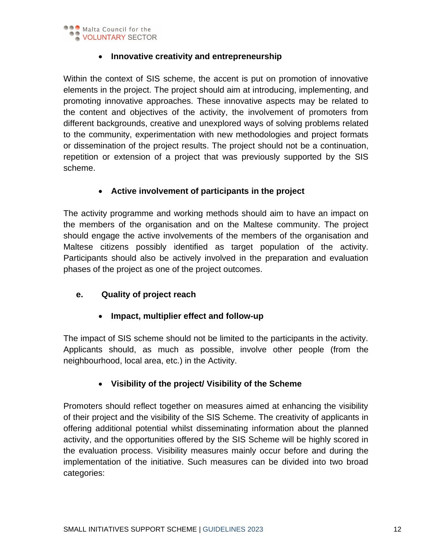

#### • **Innovative creativity and entrepreneurship**

Within the context of SIS scheme, the accent is put on promotion of innovative elements in the project. The project should aim at introducing, implementing, and promoting innovative approaches. These innovative aspects may be related to the content and objectives of the activity, the involvement of promoters from different backgrounds, creative and unexplored ways of solving problems related to the community, experimentation with new methodologies and project formats or dissemination of the project results. The project should not be a continuation, repetition or extension of a project that was previously supported by the SIS scheme.

#### • **Active involvement of participants in the project**

The activity programme and working methods should aim to have an impact on the members of the organisation and on the Maltese community. The project should engage the active involvements of the members of the organisation and Maltese citizens possibly identified as target population of the activity. Participants should also be actively involved in the preparation and evaluation phases of the project as one of the project outcomes.

#### **e. Quality of project reach**

#### • **Impact, multiplier effect and follow-up**

The impact of SIS scheme should not be limited to the participants in the activity. Applicants should, as much as possible, involve other people (from the neighbourhood, local area, etc.) in the Activity.

#### • **Visibility of the project/ Visibility of the Scheme**

Promoters should reflect together on measures aimed at enhancing the visibility of their project and the visibility of the SIS Scheme. The creativity of applicants in offering additional potential whilst disseminating information about the planned activity, and the opportunities offered by the SIS Scheme will be highly scored in the evaluation process. Visibility measures mainly occur before and during the implementation of the initiative. Such measures can be divided into two broad categories: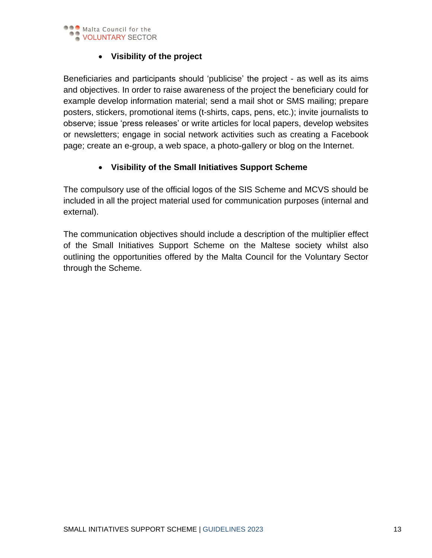

#### • **Visibility of the project**

Beneficiaries and participants should 'publicise' the project - as well as its aims and objectives. In order to raise awareness of the project the beneficiary could for example develop information material; send a mail shot or SMS mailing; prepare posters, stickers, promotional items (t-shirts, caps, pens, etc.); invite journalists to observe; issue 'press releases' or write articles for local papers, develop websites or newsletters; engage in social network activities such as creating a Facebook page; create an e-group, a web space, a photo-gallery or blog on the Internet.

#### • **Visibility of the Small Initiatives Support Scheme**

The compulsory use of the official logos of the SIS Scheme and MCVS should be included in all the project material used for communication purposes (internal and external).

The communication objectives should include a description of the multiplier effect of the Small Initiatives Support Scheme on the Maltese society whilst also outlining the opportunities offered by the Malta Council for the Voluntary Sector through the Scheme.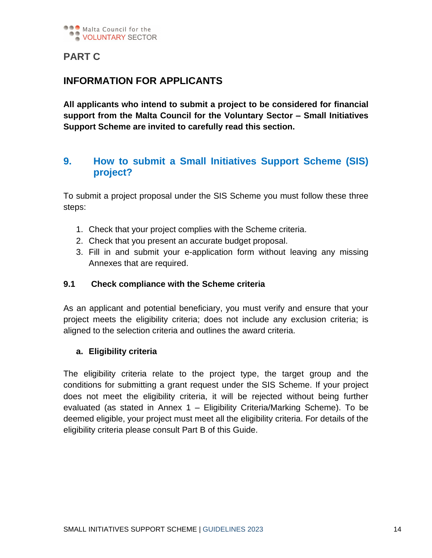

## **PART C**

## **INFORMATION FOR APPLICANTS**

**All applicants who intend to submit a project to be considered for financial support from the Malta Council for the Voluntary Sector – Small Initiatives Support Scheme are invited to carefully read this section.** 

# **9. How to submit a Small Initiatives Support Scheme (SIS) project?**

To submit a project proposal under the SIS Scheme you must follow these three steps:

- 1. Check that your project complies with the Scheme criteria.
- 2. Check that you present an accurate budget proposal.
- 3. Fill in and submit your e-application form without leaving any missing Annexes that are required.

#### **9.1 Check compliance with the Scheme criteria**

As an applicant and potential beneficiary, you must verify and ensure that your project meets the eligibility criteria; does not include any exclusion criteria; is aligned to the selection criteria and outlines the award criteria.

#### **a. Eligibility criteria**

The eligibility criteria relate to the project type, the target group and the conditions for submitting a grant request under the SIS Scheme. If your project does not meet the eligibility criteria, it will be rejected without being further evaluated (as stated in Annex 1 – Eligibility Criteria/Marking Scheme). To be deemed eligible, your project must meet all the eligibility criteria. For details of the eligibility criteria please consult Part B of this Guide.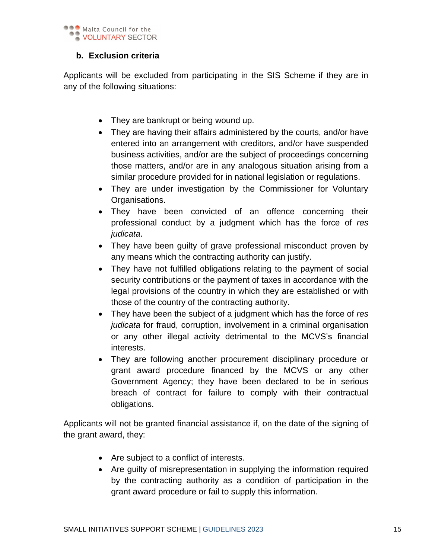

#### **b. Exclusion criteria**

Applicants will be excluded from participating in the SIS Scheme if they are in any of the following situations:

- They are bankrupt or being wound up.
- They are having their affairs administered by the courts, and/or have entered into an arrangement with creditors, and/or have suspended business activities, and/or are the subject of proceedings concerning those matters, and/or are in any analogous situation arising from a similar procedure provided for in national legislation or regulations.
- They are under investigation by the Commissioner for Voluntary Organisations.
- They have been convicted of an offence concerning their professional conduct by a judgment which has the force of *res judicata*.
- They have been quilty of grave professional misconduct proven by any means which the contracting authority can justify.
- They have not fulfilled obligations relating to the payment of social security contributions or the payment of taxes in accordance with the legal provisions of the country in which they are established or with those of the country of the contracting authority.
- They have been the subject of a judgment which has the force of *res judicata* for fraud, corruption, involvement in a criminal organisation or any other illegal activity detrimental to the MCVS's financial interests.
- They are following another procurement disciplinary procedure or grant award procedure financed by the MCVS or any other Government Agency; they have been declared to be in serious breach of contract for failure to comply with their contractual obligations.

Applicants will not be granted financial assistance if, on the date of the signing of the grant award, they:

- Are subject to a conflict of interests.
- Are guilty of misrepresentation in supplying the information required by the contracting authority as a condition of participation in the grant award procedure or fail to supply this information.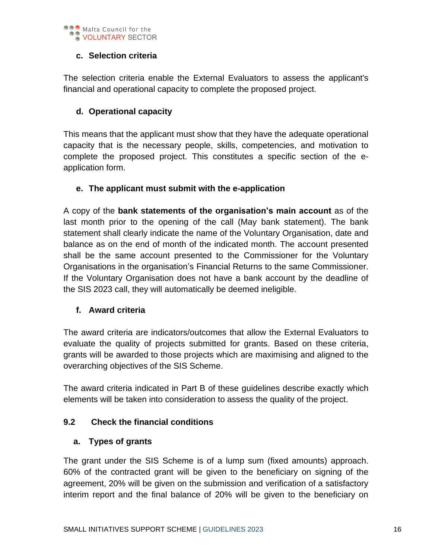

#### **c. Selection criteria**

The selection criteria enable the External Evaluators to assess the applicant's financial and operational capacity to complete the proposed project.

#### **d. Operational capacity**

This means that the applicant must show that they have the adequate operational capacity that is the necessary people, skills, competencies, and motivation to complete the proposed project. This constitutes a specific section of the eapplication form.

#### **e. The applicant must submit with the e-application**

A copy of the **bank statements of the organisation's main account** as of the last month prior to the opening of the call (May bank statement). The bank statement shall clearly indicate the name of the Voluntary Organisation, date and balance as on the end of month of the indicated month. The account presented shall be the same account presented to the Commissioner for the Voluntary Organisations in the organisation's Financial Returns to the same Commissioner. If the Voluntary Organisation does not have a bank account by the deadline of the SIS 2023 call, they will automatically be deemed ineligible.

#### **f. Award criteria**

The award criteria are indicators/outcomes that allow the External Evaluators to evaluate the quality of projects submitted for grants. Based on these criteria, grants will be awarded to those projects which are maximising and aligned to the overarching objectives of the SIS Scheme.

The award criteria indicated in Part B of these guidelines describe exactly which elements will be taken into consideration to assess the quality of the project.

#### **9.2 Check the financial conditions**

#### **a. Types of grants**

The grant under the SIS Scheme is of a lump sum (fixed amounts) approach. 60% of the contracted grant will be given to the beneficiary on signing of the agreement, 20% will be given on the submission and verification of a satisfactory interim report and the final balance of 20% will be given to the beneficiary on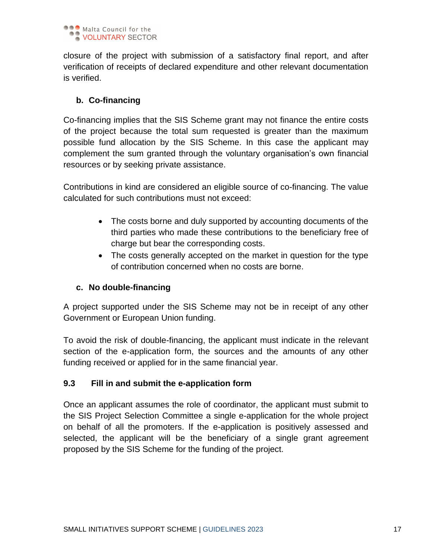

closure of the project with submission of a satisfactory final report, and after verification of receipts of declared expenditure and other relevant documentation is verified.

#### **b. Co-financing**

Co-financing implies that the SIS Scheme grant may not finance the entire costs of the project because the total sum requested is greater than the maximum possible fund allocation by the SIS Scheme. In this case the applicant may complement the sum granted through the voluntary organisation's own financial resources or by seeking private assistance.

Contributions in kind are considered an eligible source of co-financing. The value calculated for such contributions must not exceed:

- The costs borne and duly supported by accounting documents of the third parties who made these contributions to the beneficiary free of charge but bear the corresponding costs.
- The costs generally accepted on the market in question for the type of contribution concerned when no costs are borne.

#### **c. No double-financing**

A project supported under the SIS Scheme may not be in receipt of any other Government or European Union funding.

To avoid the risk of double-financing, the applicant must indicate in the relevant section of the e-application form, the sources and the amounts of any other funding received or applied for in the same financial year.

#### **9.3 Fill in and submit the e-application form**

Once an applicant assumes the role of coordinator, the applicant must submit to the SIS Project Selection Committee a single e-application for the whole project on behalf of all the promoters. If the e-application is positively assessed and selected, the applicant will be the beneficiary of a single grant agreement proposed by the SIS Scheme for the funding of the project.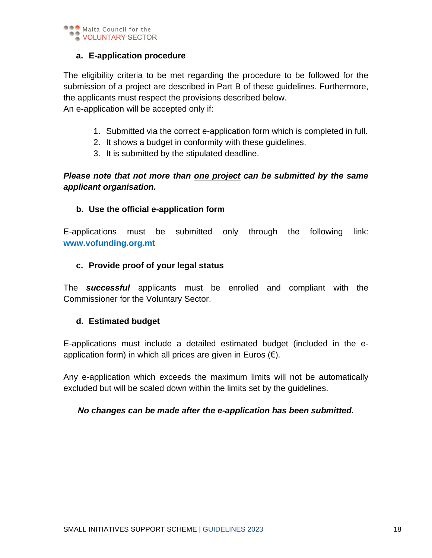

#### **a. E-application procedure**

The eligibility criteria to be met regarding the procedure to be followed for the submission of a project are described in Part B of these guidelines. Furthermore, the applicants must respect the provisions described below.

An e-application will be accepted only if:

- 1. Submitted via the correct e-application form which is completed in full.
- 2. It shows a budget in conformity with these guidelines.
- 3. It is submitted by the stipulated deadline.

#### *Please note that not more than one project can be submitted by the same applicant organisation.*

#### **b. Use the official e-application form**

E-applications must be submitted only through the following link: **[www.vofunding.org.mt](http://www.vofunding.org.mt/)**

#### **c. Provide proof of your legal status**

The *successful* applicants must be enrolled and compliant with the Commissioner for the Voluntary Sector.

#### **d. Estimated budget**

E-applications must include a detailed estimated budget (included in the eapplication form) in which all prices are given in Euros  $(\epsilon)$ .

Any e-application which exceeds the maximum limits will not be automatically excluded but will be scaled down within the limits set by the guidelines.

#### *No changes can be made after the e-application has been submitted.*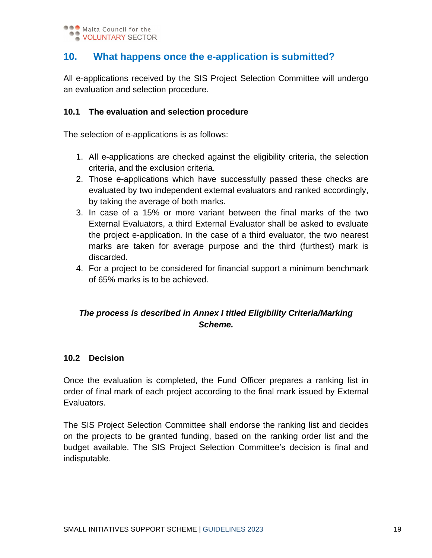# **10. What happens once the e-application is submitted?**

All e-applications received by the SIS Project Selection Committee will undergo an evaluation and selection procedure.

#### **10.1 The evaluation and selection procedure**

The selection of e-applications is as follows:

- 1. All e-applications are checked against the eligibility criteria, the selection criteria, and the exclusion criteria.
- 2. Those e-applications which have successfully passed these checks are evaluated by two independent external evaluators and ranked accordingly, by taking the average of both marks.
- 3. In case of a 15% or more variant between the final marks of the two External Evaluators, a third External Evaluator shall be asked to evaluate the project e-application. In the case of a third evaluator, the two nearest marks are taken for average purpose and the third (furthest) mark is discarded.
- 4. For a project to be considered for financial support a minimum benchmark of 65% marks is to be achieved.

## *The process is described in Annex I titled Eligibility Criteria/Marking Scheme.*

#### **10.2 Decision**

Once the evaluation is completed, the Fund Officer prepares a ranking list in order of final mark of each project according to the final mark issued by External Evaluators.

The SIS Project Selection Committee shall endorse the ranking list and decides on the projects to be granted funding, based on the ranking order list and the budget available. The SIS Project Selection Committee's decision is final and indisputable.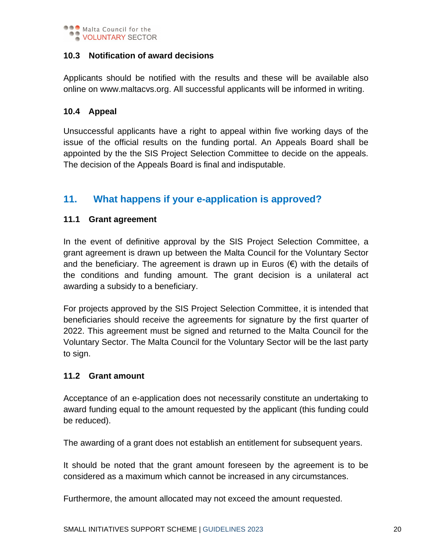

#### **10.3 Notification of award decisions**

Applicants should be notified with the results and these will be available also online on www.maltacvs.org. All successful applicants will be informed in writing.

#### **10.4 Appeal**

Unsuccessful applicants have a right to appeal within five working days of the issue of the official results on the funding portal. An Appeals Board shall be appointed by the the SIS Project Selection Committee to decide on the appeals. The decision of the Appeals Board is final and indisputable.

## **11. What happens if your e-application is approved?**

#### **11.1 Grant agreement**

In the event of definitive approval by the SIS Project Selection Committee, a grant agreement is drawn up between the Malta Council for the Voluntary Sector and the beneficiary. The agreement is drawn up in Euros  $(\epsilon)$  with the details of the conditions and funding amount. The grant decision is a unilateral act awarding a subsidy to a beneficiary.

For projects approved by the SIS Project Selection Committee, it is intended that beneficiaries should receive the agreements for signature by the first quarter of 2022. This agreement must be signed and returned to the Malta Council for the Voluntary Sector. The Malta Council for the Voluntary Sector will be the last party to sign.

#### **11.2 Grant amount**

Acceptance of an e-application does not necessarily constitute an undertaking to award funding equal to the amount requested by the applicant (this funding could be reduced).

The awarding of a grant does not establish an entitlement for subsequent years.

It should be noted that the grant amount foreseen by the agreement is to be considered as a maximum which cannot be increased in any circumstances.

Furthermore, the amount allocated may not exceed the amount requested.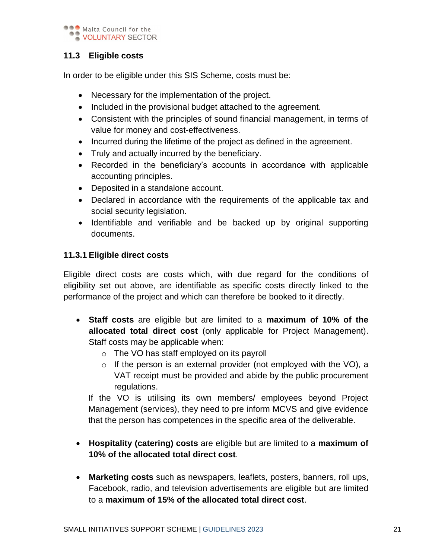

#### **11.3 Eligible costs**

In order to be eligible under this SIS Scheme, costs must be:

- Necessary for the implementation of the project.
- Included in the provisional budget attached to the agreement.
- Consistent with the principles of sound financial management, in terms of value for money and cost-effectiveness.
- Incurred during the lifetime of the project as defined in the agreement.
- Truly and actually incurred by the beneficiary.
- Recorded in the beneficiary's accounts in accordance with applicable accounting principles.
- Deposited in a standalone account.
- Declared in accordance with the requirements of the applicable tax and social security legislation.
- Identifiable and verifiable and be backed up by original supporting documents.

#### **11.3.1 Eligible direct costs**

Eligible direct costs are costs which, with due regard for the conditions of eligibility set out above, are identifiable as specific costs directly linked to the performance of the project and which can therefore be booked to it directly.

- **Staff costs** are eligible but are limited to a **maximum of 10% of the allocated total direct cost** (only applicable for Project Management). Staff costs may be applicable when:
	- o The VO has staff employed on its payroll
	- $\circ$  If the person is an external provider (not employed with the VO), a VAT receipt must be provided and abide by the public procurement regulations.

If the VO is utilising its own members/ employees beyond Project Management (services), they need to pre inform MCVS and give evidence that the person has competences in the specific area of the deliverable.

- **Hospitality (catering) costs** are eligible but are limited to a **maximum of 10% of the allocated total direct cost**.
- **Marketing costs** such as newspapers, leaflets, posters, banners, roll ups, Facebook, radio, and television advertisements are eligible but are limited to a **maximum of 15% of the allocated total direct cost**.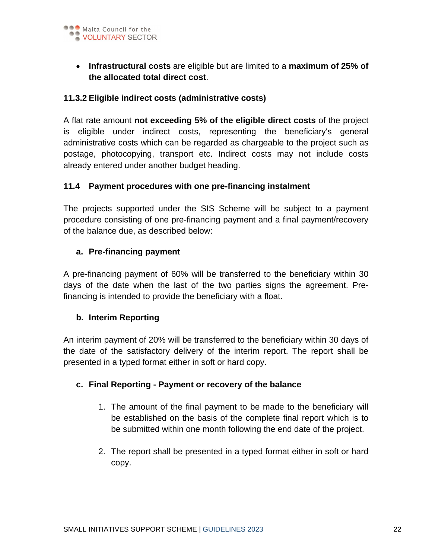

• **Infrastructural costs** are eligible but are limited to a **maximum of 25% of the allocated total direct cost**.

#### **11.3.2 Eligible indirect costs (administrative costs)**

A flat rate amount **not exceeding 5% of the eligible direct costs** of the project is eligible under indirect costs, representing the beneficiary's general administrative costs which can be regarded as chargeable to the project such as postage, photocopying, transport etc. Indirect costs may not include costs already entered under another budget heading.

#### **11.4 Payment procedures with one pre-financing instalment**

The projects supported under the SIS Scheme will be subject to a payment procedure consisting of one pre-financing payment and a final payment/recovery of the balance due, as described below:

#### **a. Pre-financing payment**

A pre-financing payment of 60% will be transferred to the beneficiary within 30 days of the date when the last of the two parties signs the agreement. Prefinancing is intended to provide the beneficiary with a float.

#### **b. Interim Reporting**

An interim payment of 20% will be transferred to the beneficiary within 30 days of the date of the satisfactory delivery of the interim report. The report shall be presented in a typed format either in soft or hard copy.

#### **c. Final Reporting - Payment or recovery of the balance**

- 1. The amount of the final payment to be made to the beneficiary will be established on the basis of the complete final report which is to be submitted within one month following the end date of the project.
- 2. The report shall be presented in a typed format either in soft or hard copy.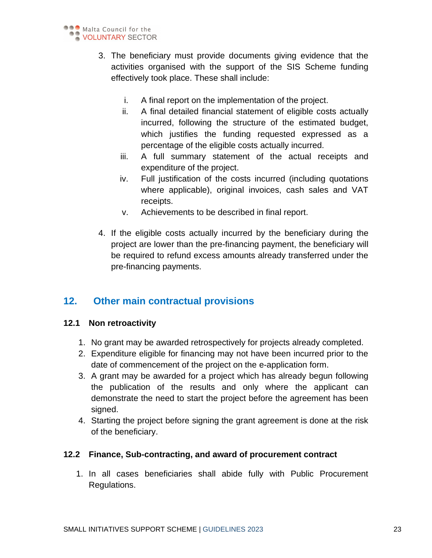

- 3. The beneficiary must provide documents giving evidence that the activities organised with the support of the SIS Scheme funding effectively took place. These shall include:
	- i. A final report on the implementation of the project.
	- ii. A final detailed financial statement of eligible costs actually incurred, following the structure of the estimated budget, which justifies the funding requested expressed as a percentage of the eligible costs actually incurred.
	- iii. A full summary statement of the actual receipts and expenditure of the project.
	- iv. Full justification of the costs incurred (including quotations where applicable), original invoices, cash sales and VAT receipts.
	- v. Achievements to be described in final report.
- 4. If the eligible costs actually incurred by the beneficiary during the project are lower than the pre-financing payment, the beneficiary will be required to refund excess amounts already transferred under the pre-financing payments.

# **12. Other main contractual provisions**

#### **12.1 Non retroactivity**

- 1. No grant may be awarded retrospectively for projects already completed.
- 2. Expenditure eligible for financing may not have been incurred prior to the date of commencement of the project on the e-application form.
- 3. A grant may be awarded for a project which has already begun following the publication of the results and only where the applicant can demonstrate the need to start the project before the agreement has been signed.
- 4. Starting the project before signing the grant agreement is done at the risk of the beneficiary.

#### **12.2 Finance, Sub-contracting, and award of procurement contract**

1. In all cases beneficiaries shall abide fully with Public Procurement Regulations.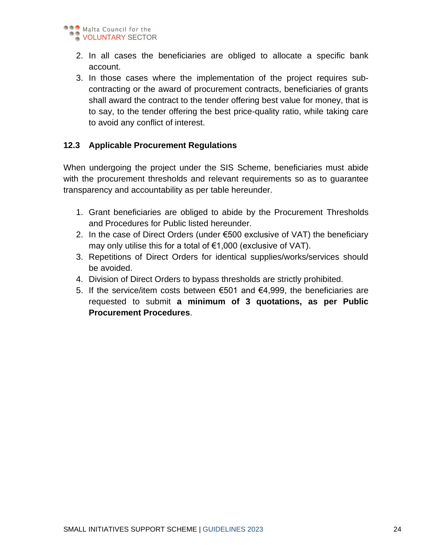

- 2. In all cases the beneficiaries are obliged to allocate a specific bank account.
- 3. In those cases where the implementation of the project requires subcontracting or the award of procurement contracts, beneficiaries of grants shall award the contract to the tender offering best value for money, that is to say, to the tender offering the best price-quality ratio, while taking care to avoid any conflict of interest.

#### **12.3 Applicable Procurement Regulations**

When undergoing the project under the SIS Scheme, beneficiaries must abide with the procurement thresholds and relevant requirements so as to guarantee transparency and accountability as per table hereunder.

- 1. Grant beneficiaries are obliged to abide by the Procurement Thresholds and Procedures for Public listed hereunder.
- 2. In the case of Direct Orders (under €500 exclusive of VAT) the beneficiary may only utilise this for a total of €1,000 (exclusive of VAT).
- 3. Repetitions of Direct Orders for identical supplies/works/services should be avoided.
- 4. Division of Direct Orders to bypass thresholds are strictly prohibited.
- 5. If the service/item costs between €501 and €4,999, the beneficiaries are requested to submit **a minimum of 3 quotations, as per Public Procurement Procedures**.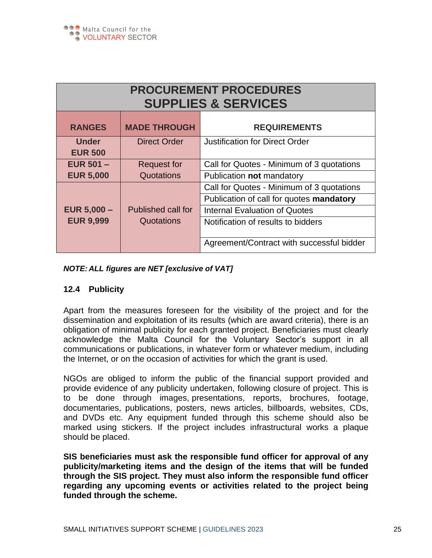| <b>PROCUREMENT PROCEDURES</b><br><b>SUPPLIES &amp; SERVICES</b> |                     |                                           |  |
|-----------------------------------------------------------------|---------------------|-------------------------------------------|--|
| <b>RANGES</b>                                                   | <b>MADE THROUGH</b> | <b>REQUIREMENTS</b>                       |  |
| <b>Under</b><br><b>EUR 500</b>                                  | <b>Direct Order</b> | <b>Justification for Direct Order</b>     |  |
| EUR $501 -$                                                     | <b>Request for</b>  | Call for Quotes - Minimum of 3 quotations |  |
| <b>EUR 5,000</b>                                                | Quotations          | Publication not mandatory                 |  |
|                                                                 |                     | Call for Quotes - Minimum of 3 quotations |  |
|                                                                 |                     | Publication of call for quotes mandatory  |  |
| <b>EUR <math>5,000 -</math></b>                                 | Published call for  | <b>Internal Evaluation of Quotes</b>      |  |
| <b>EUR 9,999</b>                                                | Quotations          | Notification of results to bidders        |  |
|                                                                 |                     | Agreement/Contract with successful bidder |  |

#### *NOTE: ALL figures are NET [exclusive of VAT]*

#### **12.4 Publicity**

Apart from the measures foreseen for the visibility of the project and for the dissemination and exploitation of its results (which are award criteria), there is an obligation of minimal publicity for each granted project. Beneficiaries must clearly acknowledge the Malta Council for the Voluntary Sector's support in all communications or publications, in whatever form or whatever medium, including the Internet, or on the occasion of activities for which the grant is used.

NGOs are obliged to inform the public of the financial support provided and provide evidence of any publicity undertaken, following closure of project. This is to be done through images, presentations, reports, brochures, footage, documentaries, publications, posters, news articles, billboards, websites, CDs, and DVDs etc. Any equipment funded through this scheme should also be marked using stickers. If the project includes infrastructural works a plaque should be placed.

**SIS beneficiaries must ask the responsible fund officer for approval of any publicity/marketing items and the design of the items that will be funded through the SIS project. They must also inform the responsible fund officer regarding any upcoming events or activities related to the project being funded through the scheme.**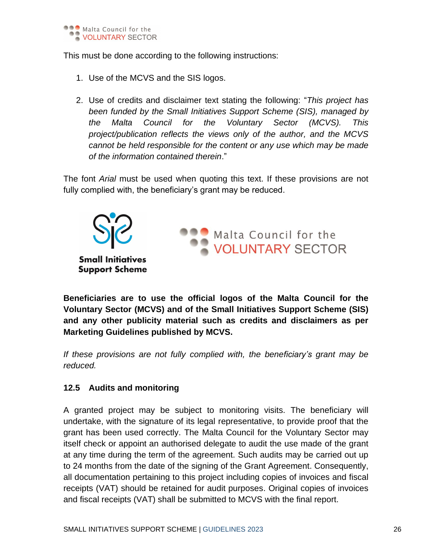

This must be done according to the following instructions:

- 1. Use of the MCVS and the SIS logos.
- 2. Use of credits and disclaimer text stating the following: "*This project has been funded by the Small Initiatives Support Scheme (SIS), managed by the Malta Council for the Voluntary Sector (MCVS). This project/publication reflects the views only of the author, and the MCVS cannot be held responsible for the content or any use which may be made of the information contained therein*."

The font *Arial* must be used when quoting this text. If these provisions are not fully complied with, the beneficiary's grant may be reduced.



**Beneficiaries are to use the official logos of the Malta Council for the Voluntary Sector (MCVS) and of the Small Initiatives Support Scheme (SIS) and any other publicity material such as credits and disclaimers as per Marketing Guidelines published by MCVS.**

*If these provisions are not fully complied with, the beneficiary's grant may be reduced.*

#### **12.5 Audits and monitoring**

A granted project may be subject to monitoring visits. The beneficiary will undertake, with the signature of its legal representative, to provide proof that the grant has been used correctly. The Malta Council for the Voluntary Sector may itself check or appoint an authorised delegate to audit the use made of the grant at any time during the term of the agreement. Such audits may be carried out up to 24 months from the date of the signing of the Grant Agreement. Consequently, all documentation pertaining to this project including copies of invoices and fiscal receipts (VAT) should be retained for audit purposes. Original copies of invoices and fiscal receipts (VAT) shall be submitted to MCVS with the final report.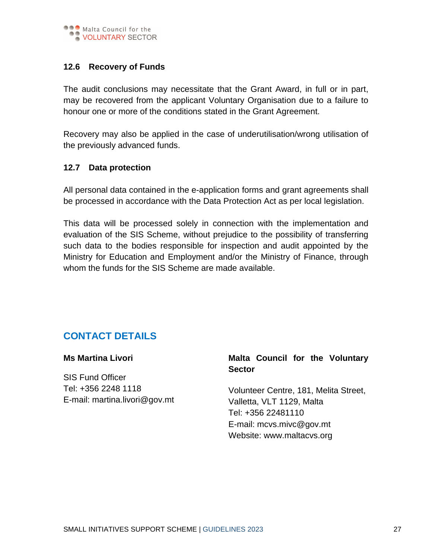

#### **12.6 Recovery of Funds**

The audit conclusions may necessitate that the Grant Award, in full or in part, may be recovered from the applicant Voluntary Organisation due to a failure to honour one or more of the conditions stated in the Grant Agreement.

Recovery may also be applied in the case of underutilisation/wrong utilisation of the previously advanced funds.

#### **12.7 Data protection**

All personal data contained in the e-application forms and grant agreements shall be processed in accordance with the Data Protection Act as per local legislation.

This data will be processed solely in connection with the implementation and evaluation of the SIS Scheme, without prejudice to the possibility of transferring such data to the bodies responsible for inspection and audit appointed by the Ministry for Education and Employment and/or the Ministry of Finance, through whom the funds for the SIS Scheme are made available.

# **CONTACT DETAILS**

**Ms Martina Livori**

SIS Fund Officer Tel: +356 2248 1118 E-mail: [martina.livori@gov.mt](mailto:martina.livori@gov.mt)

#### **Malta Council for the Voluntary Sector**

Volunteer Centre, 181, Melita Street, Valletta, VLT 1129, Malta Tel: +356 22481110 E-mail: [mcvs.mivc@gov.mt](mailto:mcvs.mivc@gov.mt) Website: [www.maltacvs.org](http://www.maltacvs.org/)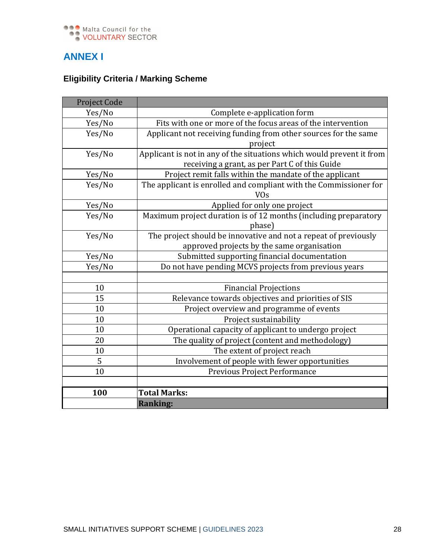

# **ANNEX I**

# **Eligibility Criteria / Marking Scheme**

| Project Code |                                                                       |  |  |
|--------------|-----------------------------------------------------------------------|--|--|
| Yes/No       | Complete e-application form                                           |  |  |
| Yes/No       | Fits with one or more of the focus areas of the intervention          |  |  |
| Yes/No       | Applicant not receiving funding from other sources for the same       |  |  |
|              | project                                                               |  |  |
| Yes/No       | Applicant is not in any of the situations which would prevent it from |  |  |
|              | receiving a grant, as per Part C of this Guide                        |  |  |
| Yes/No       | Project remit falls within the mandate of the applicant               |  |  |
| Yes/No       | The applicant is enrolled and compliant with the Commissioner for     |  |  |
|              | <b>VO<sub>s</sub></b>                                                 |  |  |
| Yes/No       | Applied for only one project                                          |  |  |
| Yes/No       | Maximum project duration is of 12 months (including preparatory       |  |  |
|              | phase)                                                                |  |  |
| Yes/No       | The project should be innovative and not a repeat of previously       |  |  |
|              | approved projects by the same organisation                            |  |  |
| Yes/No       | Submitted supporting financial documentation                          |  |  |
| Yes/No       | Do not have pending MCVS projects from previous years                 |  |  |
|              |                                                                       |  |  |
| 10           | <b>Financial Projections</b>                                          |  |  |
| 15           | Relevance towards objectives and priorities of SIS                    |  |  |
| 10           | Project overview and programme of events                              |  |  |
| 10           | Project sustainability                                                |  |  |
| 10           | Operational capacity of applicant to undergo project                  |  |  |
| 20           | The quality of project (content and methodology)                      |  |  |
| 10           | The extent of project reach                                           |  |  |
| 5            | Involvement of people with fewer opportunities                        |  |  |
| 10           | Previous Project Performance                                          |  |  |
|              |                                                                       |  |  |
| 100          | <b>Total Marks:</b>                                                   |  |  |
|              | <b>Ranking:</b>                                                       |  |  |